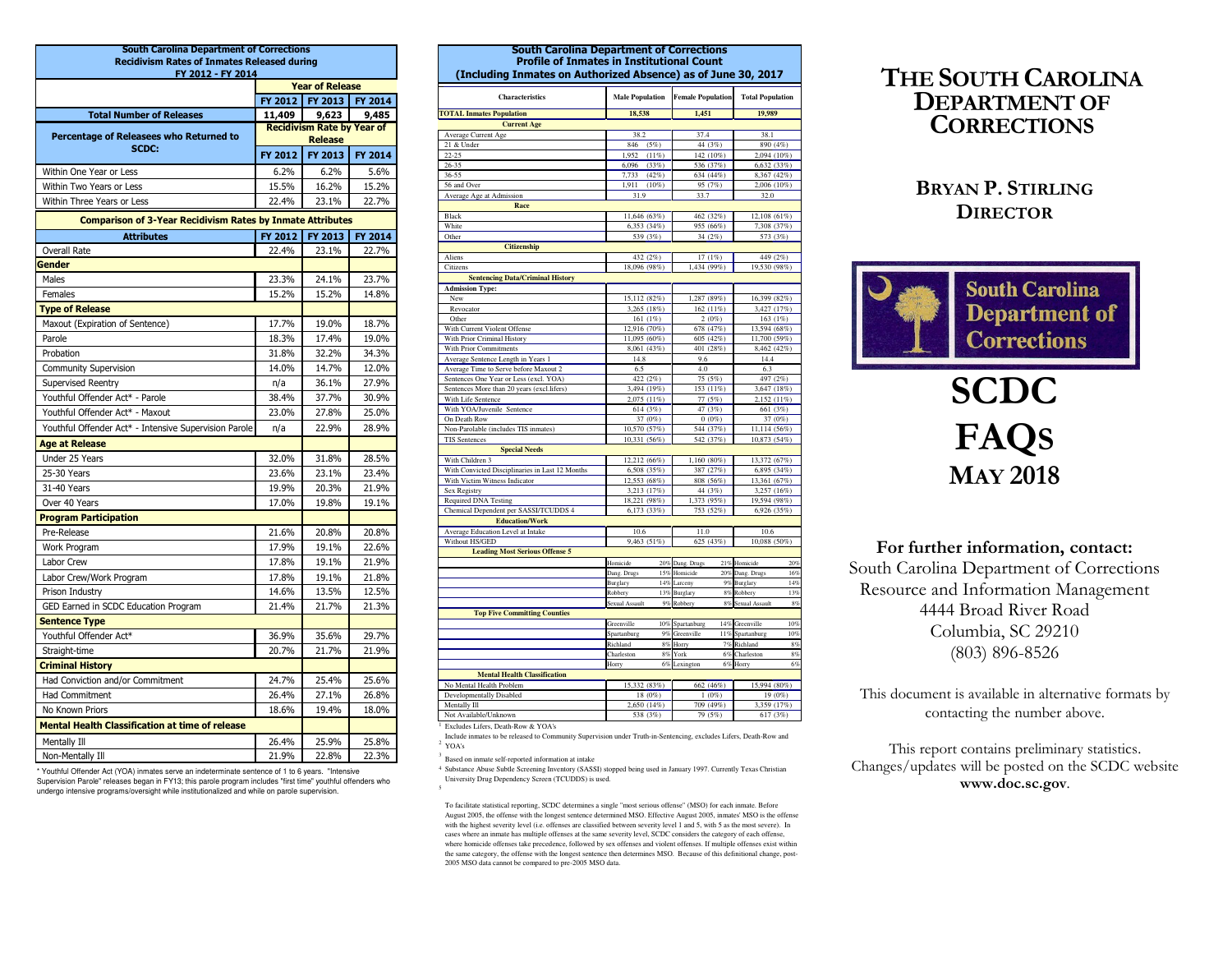| <b>South Carolina Department of Corrections</b>                   |                |                                          |         |  |  |  |  |
|-------------------------------------------------------------------|----------------|------------------------------------------|---------|--|--|--|--|
| <b>Recidivism Rates of Inmates Released during</b>                |                |                                          |         |  |  |  |  |
| FY 2012 - FY 2014                                                 |                |                                          |         |  |  |  |  |
|                                                                   | FY 2012        | <b>Year of Release</b><br><b>FY 2013</b> | FY 2014 |  |  |  |  |
| <b>Total Number of Releases</b>                                   | 11,409         | 9,623                                    | 9,485   |  |  |  |  |
|                                                                   |                | <b>Recidivism Rate by Year of</b>        |         |  |  |  |  |
| Percentage of Releasees who Returned to                           | <b>Release</b> |                                          |         |  |  |  |  |
| <b>SCDC:</b>                                                      | FY 2012        | FY 2013                                  | FY 2014 |  |  |  |  |
| Within One Year or Less                                           | 6.2%           | 6.2%                                     | 5.6%    |  |  |  |  |
| Within Two Years or Less                                          | 15.5%          | 16.2%                                    | 15.2%   |  |  |  |  |
| Within Three Years or Less                                        | 22.4%          | 23.1%                                    | 22.7%   |  |  |  |  |
| <b>Comparison of 3-Year Recidivism Rates by Inmate Attributes</b> |                |                                          |         |  |  |  |  |
| <b>Attributes</b>                                                 | FY 2012        | FY 2013                                  | FY 2014 |  |  |  |  |
| Overall Rate                                                      | 22.4%          | 23.1%                                    | 22.7%   |  |  |  |  |
| Gender                                                            |                |                                          |         |  |  |  |  |
| Males                                                             | 23.3%          | 24.1%                                    | 23.7%   |  |  |  |  |
| Females                                                           | 15.2%          | 15.2%                                    | 14.8%   |  |  |  |  |
| <b>Type of Release</b>                                            |                |                                          |         |  |  |  |  |
| Maxout (Expiration of Sentence)                                   | 17.7%          | 19.0%                                    | 18.7%   |  |  |  |  |
| Parole                                                            | 18.3%          | 17.4%                                    | 19.0%   |  |  |  |  |
| Probation                                                         | 31.8%          | 32.2%                                    | 34.3%   |  |  |  |  |
| <b>Community Supervision</b>                                      | 14.0%          | 14.7%                                    | 12.0%   |  |  |  |  |
| Supervised Reentry                                                | n/a            | 36.1%                                    | 27.9%   |  |  |  |  |
| Youthful Offender Act* - Parole                                   | 38.4%          | 37.7%                                    | 30.9%   |  |  |  |  |
| Youthful Offender Act* - Maxout                                   | 23.0%          | 27.8%                                    | 25.0%   |  |  |  |  |
| Youthful Offender Act* - Intensive Supervision Parole             | n/a            | 22.9%                                    | 28.9%   |  |  |  |  |
| <b>Age at Release</b>                                             |                |                                          |         |  |  |  |  |
| Under 25 Years                                                    | 32.0%          | 31.8%                                    | 28.5%   |  |  |  |  |
| 25-30 Years                                                       | 23.6%          | 23.1%                                    | 23.4%   |  |  |  |  |
| 31-40 Years                                                       | 19.9%          | 20.3%                                    | 21.9%   |  |  |  |  |
| Over 40 Years                                                     | 17.0%          | 19.8%                                    | 19.1%   |  |  |  |  |
| <b>Program Participation</b>                                      |                |                                          |         |  |  |  |  |
| Pre-Release                                                       | 21.6%          | 20.8%                                    | 20.8%   |  |  |  |  |
| Work Program                                                      | 17.9%          | 19.1%                                    | 22.6%   |  |  |  |  |
| Labor Crew                                                        | 17.8%          | 19.1%                                    | 21.9%   |  |  |  |  |
| Labor Crew/Work Program                                           | 17.8%          | 19.1%                                    | 21.8%   |  |  |  |  |
| Prison Industry                                                   | 14.6%          | 13.5%                                    | 12.5%   |  |  |  |  |
| GED Earned in SCDC Education Program                              | 21.4%          | 21.7%                                    | 21.3%   |  |  |  |  |
| <b>Sentence Type</b>                                              |                |                                          |         |  |  |  |  |
| Youthful Offender Act*                                            | 36.9%          | 35.6%                                    | 29.7%   |  |  |  |  |
| Straight-time                                                     | 20.7%          | 21.7%                                    | 21.9%   |  |  |  |  |
| <b>Criminal History</b>                                           |                |                                          |         |  |  |  |  |
| Had Conviction and/or Commitment                                  | 24.7%          | 25.4%                                    | 25.6%   |  |  |  |  |
| Had Commitment                                                    | 26.4%          | 27.1%                                    | 26.8%   |  |  |  |  |
| No Known Priors                                                   | 18.6%          | 19.4%                                    | 18.0%   |  |  |  |  |
| <b>Mental Health Classification at time of release</b>            |                |                                          |         |  |  |  |  |
| Mentally Ill                                                      | 26.4%          | 25.9%                                    | 25.8%   |  |  |  |  |
| Non-Mentally Ill                                                  | 21.9%          | 22.8%                                    | 22.3%   |  |  |  |  |

\* Youthful Offender Act (YOA) inmates serve an indeterminate sentence of 1 to 6 years. "Intensive Supervision Parole" releases began in FY13; this parole program includes "first time" youthful offenders who undergo intensive programs/oversight while institutionalized and while on parole supervision.

| nna vepan<br><b>Profile of Inmates in Institutional Count</b><br>(Including Inmates on Authorized Absence) as of June 30, 2017 |                        |                          |                         |  |  |  |
|--------------------------------------------------------------------------------------------------------------------------------|------------------------|--------------------------|-------------------------|--|--|--|
| Characteristics                                                                                                                | <b>Male Population</b> | <b>Female Population</b> | <b>Total Population</b> |  |  |  |
| <b>TOTAL Inmates Population</b>                                                                                                | 18,538                 | 1,451                    | 19,989                  |  |  |  |
| <b>Current Age</b>                                                                                                             |                        |                          |                         |  |  |  |
| Average Current Age                                                                                                            | 38.2                   | 37.4                     | 38.1                    |  |  |  |
| 21 & Under                                                                                                                     | (5%)<br>846            | 44 (3%)                  | 890 (4%)                |  |  |  |
| $22 - 25$                                                                                                                      | 1,952<br>(11%)         | 142 (10%)                | 2,094 (10%)             |  |  |  |
| 26-35                                                                                                                          | 6.096<br>(33%)         | 536 (37%)                | 6,632 (33%)             |  |  |  |
| 36-55                                                                                                                          | 7,733<br>(42%)         | 634 (44%)                | 8,367 (42%)             |  |  |  |
| 56 and Over                                                                                                                    | 1,911<br>$(10\%)$      | 95 (7%)                  | 2,006 (10%)             |  |  |  |
| Average Age at Admission                                                                                                       | 31.9                   | 33.7                     | 32.0                    |  |  |  |
| Race                                                                                                                           |                        |                          |                         |  |  |  |
| Black                                                                                                                          | 11,646 (63%)           | 462 (32%)                | 12,108 (61%)            |  |  |  |
| White                                                                                                                          | 6,353 (34%)            | 955 (66%)                | 7,308 (37%)             |  |  |  |
| Other                                                                                                                          | 539 (3%)               | 34 (2%)                  | 573 (3%)                |  |  |  |
| <b>Citizenship</b>                                                                                                             |                        |                          |                         |  |  |  |
| Aliens                                                                                                                         | 432 (2%)               | 17 (1%)                  | 449 (2%)                |  |  |  |
| Citizens                                                                                                                       | 18,096 (98%)           | 1,434 (99%)              | 19,530 (98%)            |  |  |  |
| <b>Sentencing Data/Criminal History</b>                                                                                        |                        |                          |                         |  |  |  |
| <b>Admission Type:</b>                                                                                                         |                        |                          |                         |  |  |  |
| New                                                                                                                            | 15,112 (82%)           | 1,287 (89%)              | 16,399 (82%)            |  |  |  |
| Revocator                                                                                                                      | 3,265 (18%)            | 162 (11%)                | 3,427 (17%)             |  |  |  |
| Other                                                                                                                          | 161 (1%)               | 2(0%)                    | 163 (1%)                |  |  |  |
| With Current Violent Offense                                                                                                   | 12,916 (70%)           | 678 (47%)                | 13,594 (68%)            |  |  |  |
| With Prior Criminal History                                                                                                    | 11,095 (60%)           | 605 (42%)                | 11,700 (59%)            |  |  |  |
| With Prior Commitments                                                                                                         | 8,061 (43%)            | 401 (28%)                | 8,462 (42%)             |  |  |  |
| Average Sentence Length in Years 1                                                                                             | 14.8                   | 9.6                      | 14.4                    |  |  |  |
| Average Time to Serve before Maxout 2                                                                                          | 6.5                    | 4.0                      | 6.3                     |  |  |  |
| Sentences One Year or Less (excl. YOA)                                                                                         | 422 (2%)               | 75 (5%)                  | 497 (2%)                |  |  |  |
| Sentences More than 20 years (excl.lifers)                                                                                     | 3,494 (19%)            | 153 (11%)                | 3,647 (18%)             |  |  |  |
| With Life Sentence                                                                                                             | 2,075 (11%)            | 77 (5%)                  | 2,152 (11%)             |  |  |  |
| With YOA/Juvenile Sentence<br>On Death Row                                                                                     | 614 (3%)<br>37 (0%)    | 47 (3%)<br>0(0%)         | 661 (3%)<br>37 (0%)     |  |  |  |
| Non-Parolable (includes TIS inmates)                                                                                           | 10,570 (57%)           | 544 (37%)                | 11,114 (56%)            |  |  |  |
| <b>TIS Sentences</b>                                                                                                           | 10,331 (56%)           | 542 (37%)                | 10,873 (54%)            |  |  |  |
| <b>Special Needs</b>                                                                                                           |                        |                          |                         |  |  |  |
| With Children 3                                                                                                                | 12,212 (66%)           | 1,160 (80%)              | 13,372 (67%)            |  |  |  |
| With Convicted Disciplinaries in Last 12 Months                                                                                | 6,508 (35%)            | 387 (27%)                | 6,895 (34%)             |  |  |  |
| With Victim Witness Indicator                                                                                                  | 12,553 (68%)           | 808 (56%)                | 13,361 (67%)            |  |  |  |
| Sex Registry                                                                                                                   | 3,213 (17%)            | 44 (3%)                  | 3,257 (16%)             |  |  |  |
| <b>Required DNA Testing</b>                                                                                                    | 18,221 (98%)           | 1,373 (95%)              | 19,594 (98%)            |  |  |  |
| Chemical Dependent per SASSI/TCUDDS 4                                                                                          | 6,173 (33%)            | 753 (52%)                | 6,926 (35%)             |  |  |  |
| <b>Education/Work</b>                                                                                                          |                        |                          |                         |  |  |  |
| Average Education Level at Intake                                                                                              | 10.6                   | 11.0                     | 10.6                    |  |  |  |
| Without HS/GED                                                                                                                 | 9,463 (51%)            | 625 (43%)                | 10,088 (50%)            |  |  |  |
| <b>Leading Most Serious Offense 5</b>                                                                                          |                        |                          |                         |  |  |  |
|                                                                                                                                | Homicide               | 20% Dang. Drugs          | 21% Homicide<br>20%     |  |  |  |
|                                                                                                                                | Dang. Drugs<br>15%     | Homicide<br>20%          | 16%<br>Dang. Drugs      |  |  |  |
|                                                                                                                                | 14%<br>Burglary        | 9%<br>arcenv             | 14%<br>Burglary         |  |  |  |
|                                                                                                                                | 13%<br>Robbery         | Burglary<br>8%           | Robbery<br>13%          |  |  |  |
|                                                                                                                                | Sexual Assault<br>9%   | Robbery<br>8%            | Sexual Assault<br>8%    |  |  |  |
| <b>Top Five Committing Counties</b>                                                                                            |                        |                          |                         |  |  |  |
|                                                                                                                                | 10%<br>Greenville      | 14%<br>Spartanburg       | 10%<br>Greenville       |  |  |  |
|                                                                                                                                | Spartanburg<br>9%      | Greenville<br>11%        | 10%<br>Spartanburg      |  |  |  |
|                                                                                                                                | Richland<br>$8\%$      | Horry<br>7%              | Richland<br>8%          |  |  |  |
|                                                                                                                                | 8%<br>Charleston       | York<br>6%               | Charleston<br>8%        |  |  |  |
|                                                                                                                                | 6%<br>Horry            | Lexington<br>6%          | 6%<br>Horry             |  |  |  |
| <b>Mental Health Classification</b>                                                                                            |                        |                          |                         |  |  |  |
| No Mental Health Problem                                                                                                       | 15,332 (83%)           | 662 (46%)                | 15,994 (80%)            |  |  |  |
| Developmentally Disabled                                                                                                       | 18 (0%)                | 1(0%)                    | 19 (0%)                 |  |  |  |
| Mentally Ill                                                                                                                   | 2,650 (14%)            | 709 (49%)                | 3,359 (17%)             |  |  |  |
| Not Available/Unknown                                                                                                          | 538 (3%)               | 79 (5%)                  | 617 (3%)                |  |  |  |

South Carolina Department of Cor

<sup>1</sup> Excludes Lifers, Death-Row & YOA's

2 YOA'sInclude inmates to be released to Community Supervision under Truth-in-Sentencing, excludes Lifers, Death-Row and

<sup>3</sup> Based on inmate self-reported information at intake

<sup>4</sup> Substance Abuse Subtle Screening Inventory (SASSI) stopped being used in January 1997. Currently Texas Christian University Drug Dependency Screen (TCUDDS) is used.

To facilitate statistical reporting, SCDC determines a single "most serious offense" (MSO) for each inmate. Before August 2005, the offense with the longest sentence determined MSO. Effective August 2005, inmates' MSO is the offense with the highest severity level (i.e. offenses are classified between severity level 1 and 5, with 5 as the most severe). In cases where an inmate has multiple offenses at the same severity level, SCDC considers the category of each offense, where homicide offenses take precedence, followed by sex offenses and violent offenses. If multiple offenses exist within the same category, the offense with the longest sentence then determines MSO. Because of this definitional change, post-2005 MSO data cannot be compared to pre-2005 MSO data.

## THE SOUTH CAROLINA DEPARTMENT OF **CORRECTIONS**

### BRYAN P.STIRLING**DIRECTOR**



# SCDC FAQSMAY 2018

For further information, contact: South Carolina Department of Corrections Resource and Information Management 4444 Broad River Road Columbia, SC 29210 (803) 896-8526

This document is available in alternative formats bycontacting the number above.

This report contains preliminary statistics. Changes/updates will be posted on the SCDC website www.doc.sc.gov.